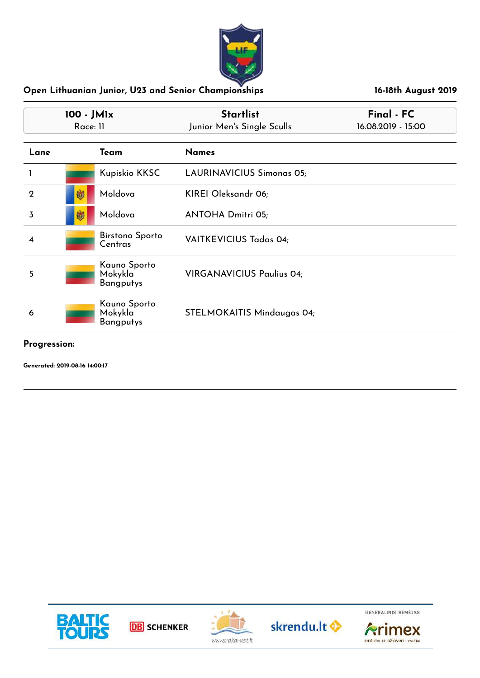

| 100 - JM1x<br>Race: 11 |   |                                             | <b>Startlist</b><br>Junior Men's Single Sculls | Final - FC<br>16.08.2019 - 15:00 |  |
|------------------------|---|---------------------------------------------|------------------------------------------------|----------------------------------|--|
| Lane                   |   | Team                                        | <b>Names</b>                                   |                                  |  |
|                        |   | Kupiskio KKSC                               | LAURINAVICIUS Simonas 05;                      |                                  |  |
| $\mathbf 2$            | 懒 | Moldova                                     | KIREI Oleksandr 06;                            |                                  |  |
| 3                      | 媙 | Moldova                                     | <b>ANTOHA Dmitri 05;</b>                       |                                  |  |
| 4                      |   | <b>Birstono Sporto</b><br>Centras           | VAITKEVICIUS Tadas 04;                         |                                  |  |
| 5                      |   | Kauno Sporto<br>Mokykla<br><b>Bangputys</b> | <b>VIRGANAVICIUS Paulius 04;</b>               |                                  |  |
| 6                      |   | Kauno Sporto<br>Mokykla<br><b>Bangputys</b> | STELMOKAITIS Mindaugas 04;                     |                                  |  |
|                        |   |                                             |                                                |                                  |  |

**Progression:**

**Generated: 2019-08-16 14:00:17**







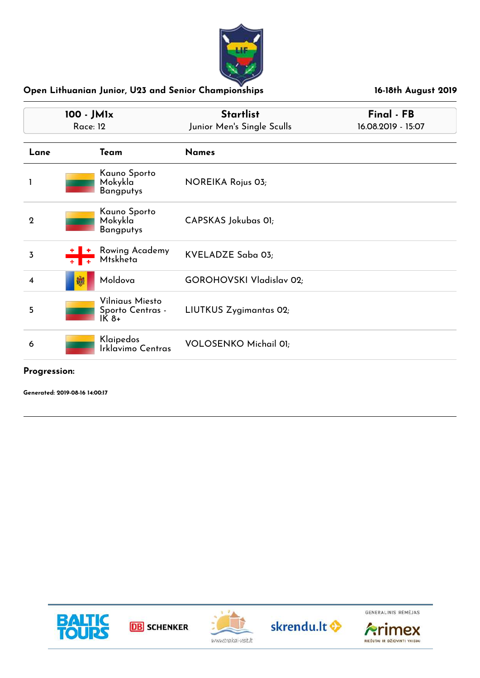

| 100 - JM1x<br><b>Race: 12</b> |   |                                               | <b>Startlist</b><br>Junior Men's Single Sculls | Final - FB<br>16.08.2019 - 15:07 |
|-------------------------------|---|-----------------------------------------------|------------------------------------------------|----------------------------------|
| Lane                          |   | Team                                          | <b>Names</b>                                   |                                  |
|                               |   | Kauno Sporto<br>Mokykla<br><b>Bangputys</b>   | NOREIKA Rojus 03;                              |                                  |
| $\overline{2}$                |   | Kauno Sporto<br>Mokykla<br><b>Bangputys</b>   | CAPSKAS Jokubas 01;                            |                                  |
| 3                             |   | Rowing Academy<br>Mtskheta                    | KVELADZE Saba 03;                              |                                  |
| $\overline{\mathbf{4}}$       | 國 | Moldova                                       | <b>GOROHOVSKI Vladislav 02;</b>                |                                  |
| 5                             |   | Vilniaus Miesto<br>Sporto Centras -<br>$IK8+$ | LIUTKUS Zygimantas 02;                         |                                  |
| 6                             |   | Klaipedos<br>Irklavimo Centras                | <b>VOLOSENKO Michail 01;</b>                   |                                  |

#### **Progression:**

**Generated: 2019-08-16 14:00:17**









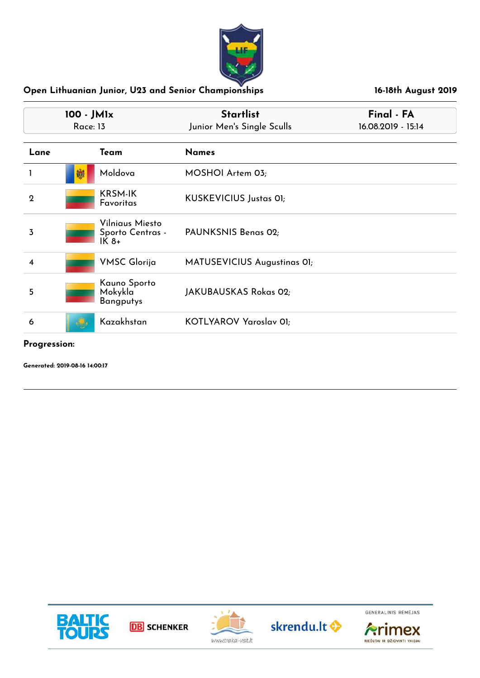

| 100 - JM1x<br><b>Race: 13</b> |                                               | <b>Startlist</b><br>Junior Men's Single Sculls | Final - FA<br>16.08.2019 - 15:14 |  |
|-------------------------------|-----------------------------------------------|------------------------------------------------|----------------------------------|--|
| Lane                          | Team                                          | <b>Names</b>                                   |                                  |  |
|                               | Moldova<br>劂                                  | MOSHOI Artem 03;                               |                                  |  |
| $\mathbf 2$                   | <b>KRSM-IK</b><br>Favoritas                   | KUSKEVICIUS Justas OI;                         |                                  |  |
| 3                             | Vilniaus Miesto<br>Sporto Centras -<br>$IK8+$ | PAUNKSNIS Benas 02;                            |                                  |  |
| 4                             | <b>VMSC Glorija</b>                           | MATUSEVICIUS Augustinas OI;                    |                                  |  |
| 5                             | Kauno Sporto<br>Mokykla<br><b>Bangputys</b>   | JAKUBAUSKAS Rokas 02;                          |                                  |  |
| 6                             | Kazakhstan                                    | KOTLYAROV Yaroslav 01;                         |                                  |  |
|                               |                                               |                                                |                                  |  |

**Progression:**

**Generated: 2019-08-16 14:00:17**









RIEŠUTAI IR DŽIOVINTI VAISIAI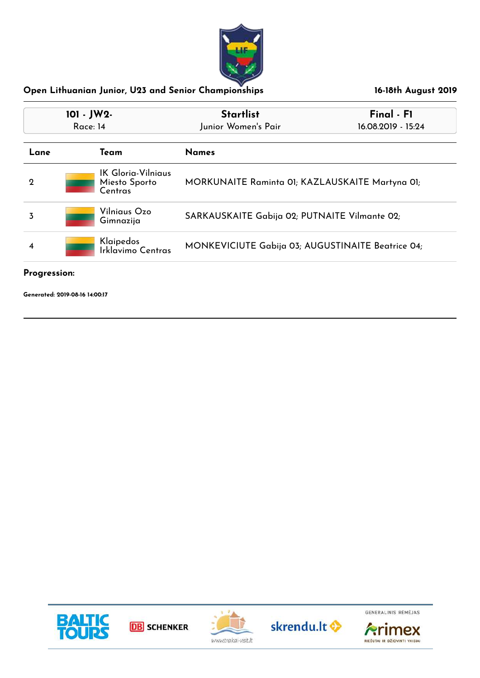

| 101 - JW2-<br>Race: 14                                                                   |                                                       | <b>Startlist</b><br>Junior Women's Pair         | Final - F1<br>16.08.2019 - 15:24 |
|------------------------------------------------------------------------------------------|-------------------------------------------------------|-------------------------------------------------|----------------------------------|
| Lane                                                                                     | Team                                                  | <b>Names</b>                                    |                                  |
| $\mathbf 2$                                                                              | <b>IK Gloria-Vilniaus</b><br>Miesto Sporto<br>Centras | MORKUNAITE Raminta 01; KAZLAUSKAITE Martyna 01; |                                  |
| 3                                                                                        | Vilniaus Ozo<br>Gimnazija                             | SARKAUSKAITE Gabija 02; PUTNAITE Vilmante 02;   |                                  |
| Klaipedos<br>MONKEVICIUTE Gabija 03; AUGUSTINAITE Beatrice 04;<br>4<br>Irklavimo Centras |                                                       |                                                 |                                  |

#### **Progression:**









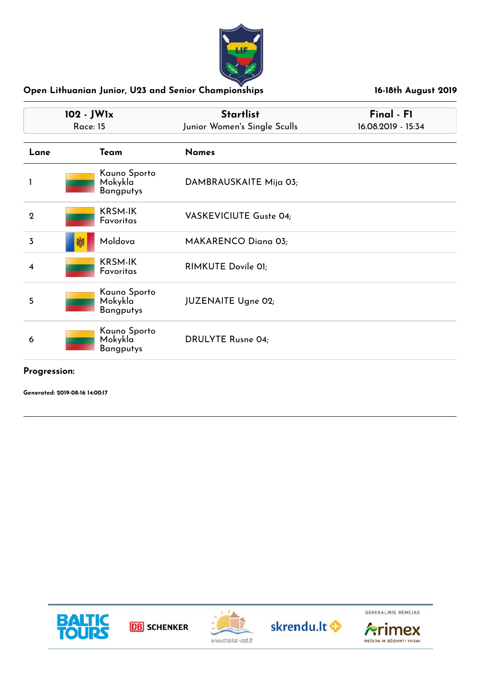

| 102 - JW1x<br><b>Race: 15</b> |   |                                             | <b>Startlist</b><br>Junior Women's Single Sculls | Final - F1<br>16.08.2019 - 15:34 |
|-------------------------------|---|---------------------------------------------|--------------------------------------------------|----------------------------------|
| Lane                          |   | Team                                        | <b>Names</b>                                     |                                  |
|                               |   | Kauno Sporto<br>Mokykla<br><b>Bangputys</b> | DAMBRAUSKAITE Mija 03;                           |                                  |
| $\mathbf 2$                   |   | <b>KRSM-IK</b><br>Favoritas                 | <b>VASKEVICIUTE Guste 04;</b>                    |                                  |
| 3                             | 嫐 | Moldova                                     | MAKARENCO Diana 03;                              |                                  |
| 4                             |   | <b>KRSM-IK</b><br>Favoritas                 | RIMKUTE Dovile 01;                               |                                  |
| 5                             |   | Kauno Sporto<br>Mokykla<br><b>Bangputys</b> | <b>JUZENAITE Ugne 02;</b>                        |                                  |
| 6                             |   | Kauno Sporto<br>Mokykla<br><b>Bangputys</b> | <b>DRULYTE Rusne 04;</b>                         |                                  |

#### **Progression:**









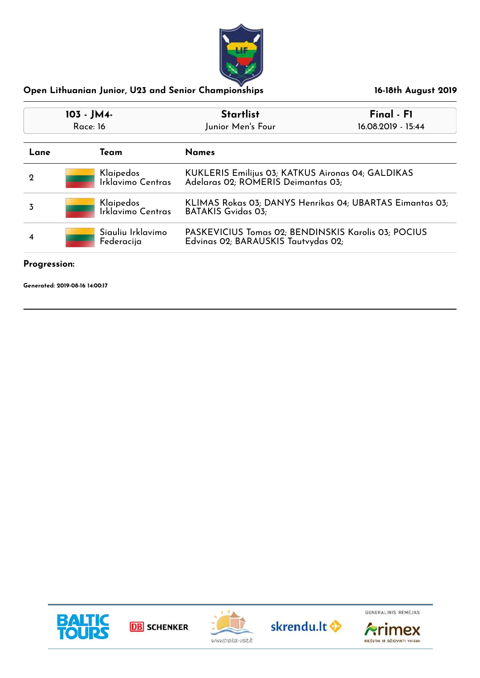

| 103 - JM4-<br>Race: 16               |  |                                                                                            | <b>Startlist</b><br>Junior Men's Four                                                   | Final - F1<br>16.08.2019 - 15:44 |
|--------------------------------------|--|--------------------------------------------------------------------------------------------|-----------------------------------------------------------------------------------------|----------------------------------|
| Lane                                 |  | Team                                                                                       | <b>Names</b>                                                                            |                                  |
| $\mathbf 2$                          |  | Klaipedos<br>Irklavimo Centras                                                             | KUKLERIS Emilijus 03; KATKUS Aironas 04; GALDIKAS<br>Adelaras 02; ROMERIS Deimantas 03; |                                  |
| 3                                    |  | Klaipedos<br>Irklavimo Centras                                                             | KLIMAS Rokas 03; DANYS Henrikas 04; UBARTAS Eimantas 03;<br><b>BATAKIS Gvidas 03;</b>   |                                  |
| Siauliu Irklavimo<br>4<br>Federacija |  | PASKEVICIUS Tomas 02; BENDINSKIS Karolis 03; POCIUS<br>Edvinas 02; BARAUSKIS Tautvydas 02; |                                                                                         |                                  |

#### **Progression:**









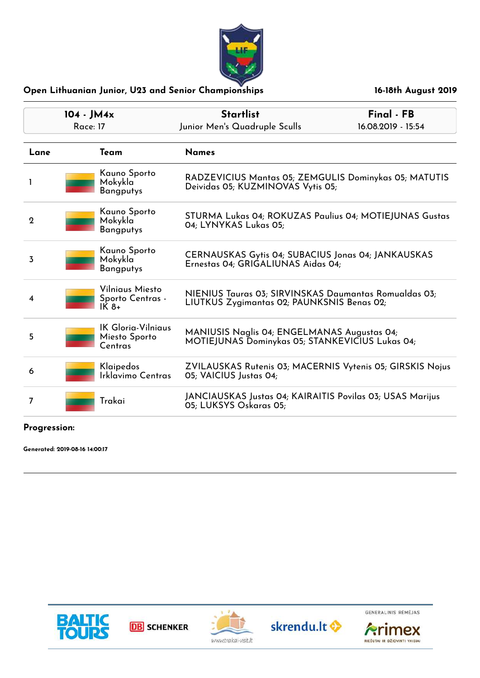

| $104 - JM4x$<br><b>Race: 17</b> |  |                                                       | <b>Startlist</b><br>Junior Men's Quadruple Sculls                                                   | Final - FB<br>16.08.2019 - 15:54 |
|---------------------------------|--|-------------------------------------------------------|-----------------------------------------------------------------------------------------------------|----------------------------------|
| Lane                            |  | Team                                                  | <b>Names</b>                                                                                        |                                  |
|                                 |  | Kauno Sporto<br>Mokykla<br><b>Bangputys</b>           | RADZEVICIUS Mantas 05; ZEMGULIS Dominykas 05; MATUTIS<br>Deividas 05; KUZMINOVAS Vytis 05;          |                                  |
| $\mathbf 2$                     |  | Kauno Sporto<br>Mokykla<br><b>Bangputys</b>           | STURMA Lukas 04; ROKUZAS Paulius 04; MOTIEJUNAS Gustas<br>04; LYNYKAS Lukas 05;                     |                                  |
| 3                               |  | Kauno Sporto<br>Mokykla<br><b>Bangputys</b>           | CERNAUSKAS Gytis 04; SUBACIUS Jonas 04; JANKAUSKAS<br>Ernestas 04; GRIGALIUNAS Aidas 04;            |                                  |
| 4                               |  | Vilniaus Miesto<br>Sporto Centras -<br>$IK8+$         | NIENIUS Tauras 03; SIRVINSKAS Daumantas Romualdas 03;<br>LIUTKUS Zygimantas 02; PAUNKSNIS Benas 02; |                                  |
| 5                               |  | <b>IK Gloria-Vilniaus</b><br>Miesto Sporto<br>Centras | MANIUSIS Naglis 04; ENGELMANAS Augustas 04;<br>MOTIEJUNAS Dominykas 05; STANKEVIČIUS Lukas 04;      |                                  |
| 6                               |  | Klaipedos<br>Irklavimo Centras                        | ZVILAUSKAS Rutenis 03; MACERNIS Vytenis 05; GIRSKIS Nojus<br>05; VAICIUS Justas 04;                 |                                  |
| 7                               |  | Trakai                                                | JANCIAUSKAS Justas 04; KAIRAITIS Povilas 03; USAS Marijus<br>05; LUKSYS Oskaras 05;                 |                                  |

#### **Progression:**









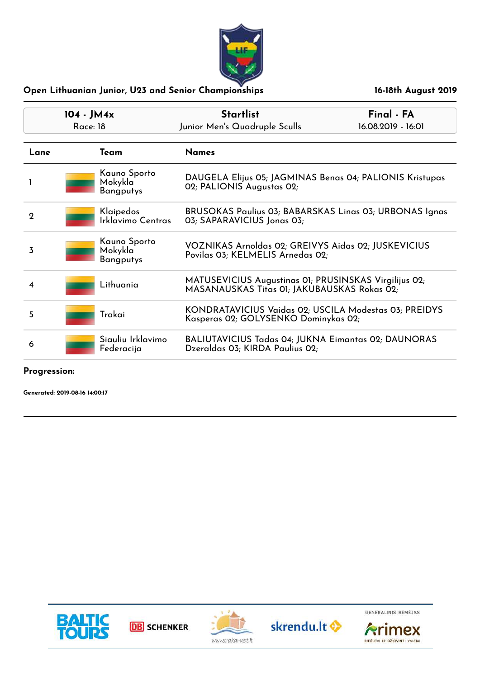

| $104 - JM4x$ |                                             | <b>Startlist</b>                                                                                     | Final - FA         |
|--------------|---------------------------------------------|------------------------------------------------------------------------------------------------------|--------------------|
|              | Race: 18                                    | Junior Men's Quadruple Sculls                                                                        | 16.08.2019 - 16:01 |
| Lane         | Team                                        | <b>Names</b>                                                                                         |                    |
|              | Kauno Sporto<br>Mokykla<br><b>Bangputys</b> | DAUGELA Elijus 05; JAGMINAS Benas 04; PALIONIS Kristupas<br>02; PALIONIS Augustas 02;                |                    |
| $\mathbf 2$  | Klaipedos<br>Irklavimo Centras              | BRUSOKAS Paulius 03; BABARSKAS Linas 03; URBONAS Ignas<br>03; SAPARAVICIUS Jonas 03;                 |                    |
| 3            | Kauno Sporto<br>Mokykla<br><b>Bangputys</b> | VOZNIKAS Arnoldas 02; GREIVYS Aidas 02; JUSKEVICIUS<br>Povilas 03; KELMELIS Arnedas 02;              |                    |
| 4            | Lithuania                                   | MATUSEVICIUS Augustinas 01; PRUSINSKAS Virgilijus 02;<br>MASANAUSKAS Titas 01; JAKUBAUSKAS Rokas 02; |                    |
| 5            | Trakai                                      | KONDRATAVICIUS Vaidas 02; USCILA Modestas 03; PREIDYS<br>Kasperas 02; GOLYSENKO Dominykas 02;        |                    |
| 6            | Siauliu Irklavimo<br>Federacija             | <b>BALIUTAVICIUS Tadas 04; JUKNA Eimantas 02; DAUNORAS</b><br>Dzeraldas 03; KIRDA Paulius 02;        |                    |

#### **Progression:**









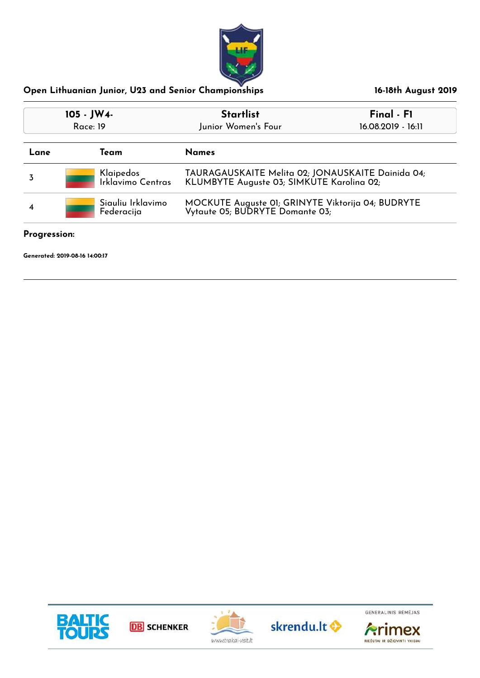

| 105 - JW4-<br><b>Race: 19</b>        |                                | <b>Startlist</b><br>Junior Women's Four                                                        | Final - F1<br>16.08.2019 - 16:11 |
|--------------------------------------|--------------------------------|------------------------------------------------------------------------------------------------|----------------------------------|
| Lane                                 | Team                           | <b>Names</b>                                                                                   |                                  |
|                                      | Klaipedos<br>Irklavimo Centras | TAURAGAUSKAITE Melita 02; JONAUSKAITE Dainida 04;<br>KLUMBYTE Auguste 03; SIMKUTE Karolina 02; |                                  |
| Siauliu Irklavimo<br>4<br>Federacija |                                | MOCKUTE Auguste 01; GRINYTE Viktorija 04; BUDRYTE<br>Vytaute 05; BUDRYTE Domante 03;           |                                  |

#### **Progression:**

**Generated: 2019-08-16 14:00:17**









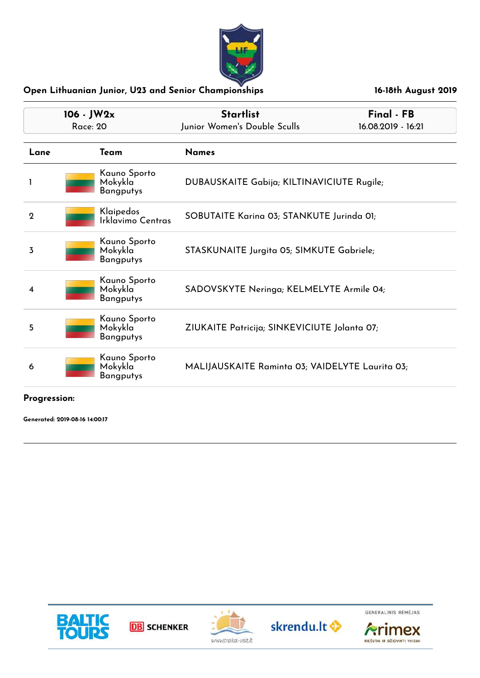

| $106 - JW2x$<br><b>Race: 20</b> |                                                          | <b>Startlist</b><br>Junior Women's Double Sculls | Final - FB<br>16.08.2019 - 16:21 |
|---------------------------------|----------------------------------------------------------|--------------------------------------------------|----------------------------------|
| Lane                            | Team                                                     | <b>Names</b>                                     |                                  |
|                                 | Kauno Sporto<br>Mokykla<br><b>Bangputys</b>              | DUBAUSKAITE Gabija; KILTINAVICIUTE Rugile;       |                                  |
| $\overline{2}$                  | Klaipedos<br>Irklavimo Centras                           | SOBUTAITE Karina 03; STANKUTE Jurinda 01;        |                                  |
| 3                               | Kauno Sporto<br>Mokykla<br><b>Bangputys</b>              | STASKUNAITE Jurgita 05; SIMKUTE Gabriele;        |                                  |
| 4                               | Kauno Sporto<br>Mokykla <sup>®</sup><br><b>Bangputys</b> | SADOVSKYTE Neringa; KELMELYTE Armile 04;         |                                  |
| 5                               | Kauno Sporto<br>Mokykla<br><b>Bangputys</b>              | ZIUKAITE Patricija; SINKEVICIUTE Jolanta 07;     |                                  |
| 6                               | Kauno Sporto<br>Mokykla<br><b>Bangputys</b>              | MALIJAUSKAITE Raminta 03; VAIDELYTE Laurita 03;  |                                  |

#### **Progression:**

**Generated: 2019-08-16 14:00:17**









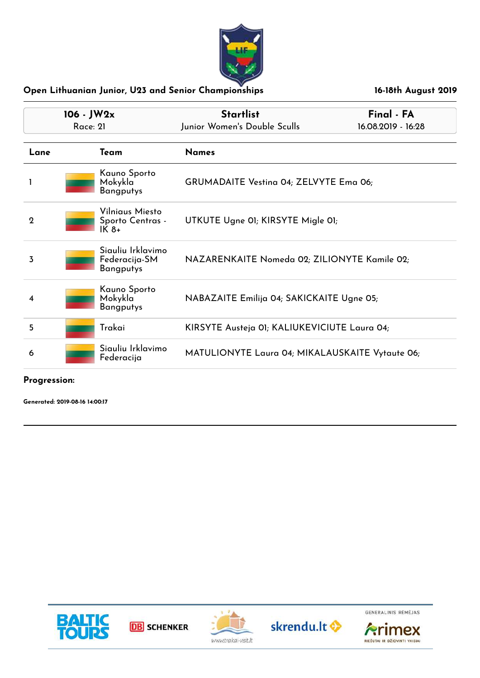

| $106 - JW2x$<br>Race: 21 |  |                                                        | <b>Startlist</b><br>Junior Women's Double Sculls | Final - FA<br>16.08.2019 - 16:28 |
|--------------------------|--|--------------------------------------------------------|--------------------------------------------------|----------------------------------|
| Lane                     |  | Team                                                   | <b>Names</b>                                     |                                  |
|                          |  | Kauno Sporto<br>Mokykla<br><b>Bangputys</b>            | GRUMADAITE Vestina 04; ZELVYTE Ema 06;           |                                  |
| $\mathbf 2$              |  | Vilniaus Miesto<br>Sporto Centras -<br>$IK8+$          | UTKUTE Ugne 01; KIRSYTE Migle 01;                |                                  |
| 3                        |  | Siauliu Irklavimo<br>Federacija-SM<br><b>Bangputys</b> | NAZARENKAITE Nomeda 02; ZILIONYTE Kamile 02;     |                                  |
| 4                        |  | Kauno Sporto<br>Mokykla<br><b>Bangputys</b>            | NABAZAITE Emilija 04; SAKICKAITE Ugne 05;        |                                  |
| 5                        |  | Trakai                                                 | KIRSYTE Austeja 01; KALIUKEVICIUTE Laura 04;     |                                  |
| 6                        |  | Siauliu Irklavimo<br>Federacija                        | MATULIONYTE Laura 04; MIKALAUSKAITE Vytaute 06;  |                                  |

**Progression:**

**Generated: 2019-08-16 14:00:17**









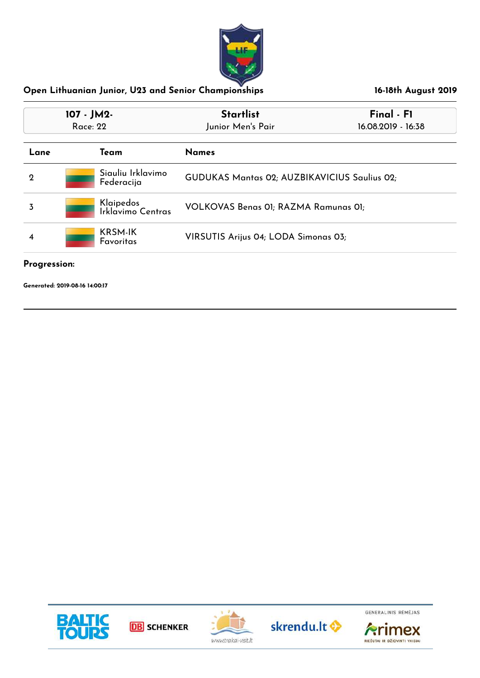

| 107 - JM2-<br><b>Race: 22</b>                                                         |  |                                 | <b>Startlist</b><br>Junior Men's Pair        | Final - F1<br>16.08.2019 - 16:38 |
|---------------------------------------------------------------------------------------|--|---------------------------------|----------------------------------------------|----------------------------------|
| Lane                                                                                  |  | Team                            | <b>Names</b>                                 |                                  |
| $\mathbf 2$                                                                           |  | Siauliu Irklavimo<br>Federacija | GUDUKAS Mantas 02; AUZBIKAVICIUS Saulius 02; |                                  |
| 3                                                                                     |  | Klaipedos<br>Irklavimo Centras  | VOLKOVAS Benas 01; RAZMA Ramunas 01;         |                                  |
| <b>KRSM-IK</b><br>VIRSUTIS Arijus 04; LODA Simonas 03;<br>$\overline{4}$<br>Favoritas |  |                                 |                                              |                                  |

#### **Progression:**

**Generated: 2019-08-16 14:00:17**









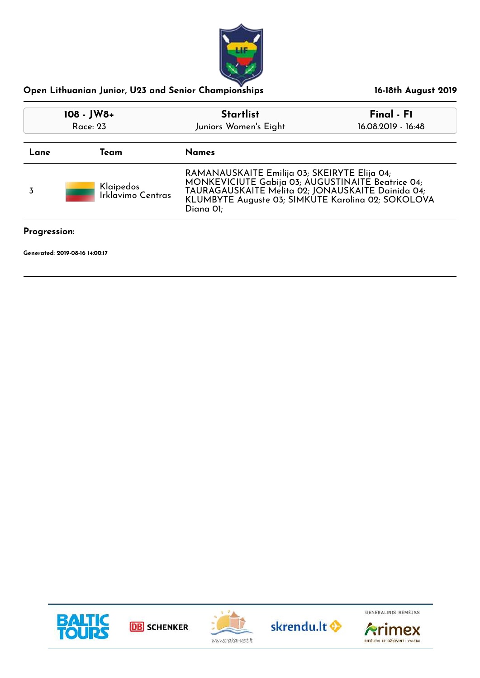

| 108 - JW8+<br>Race: 23 |                                | <b>Startlist</b>                                                                                                                                                                                                          | Final - F1         |
|------------------------|--------------------------------|---------------------------------------------------------------------------------------------------------------------------------------------------------------------------------------------------------------------------|--------------------|
|                        |                                | Juniors Women's Eight                                                                                                                                                                                                     | 16.08.2019 - 16:48 |
| Lane                   | Team                           | <b>Names</b>                                                                                                                                                                                                              |                    |
| 3                      | Klaipedos<br>Irklavimo Centras | RAMANAUSKAITE Emilija 03; SKEIRYTE Elija 04;<br>MONKEVICIUTE Gabija 03; AUGUSTINAITÉ Beatrice 04;<br>TAURAGAUSKAITE Melita 02; JONAUSKAITE Dainida 04;<br>KLUMBYTE Auguste 03; SIMKUTE Karolina 02; SOKOLOVA<br>Diana Ol; |                    |
| Progression:           |                                |                                                                                                                                                                                                                           |                    |









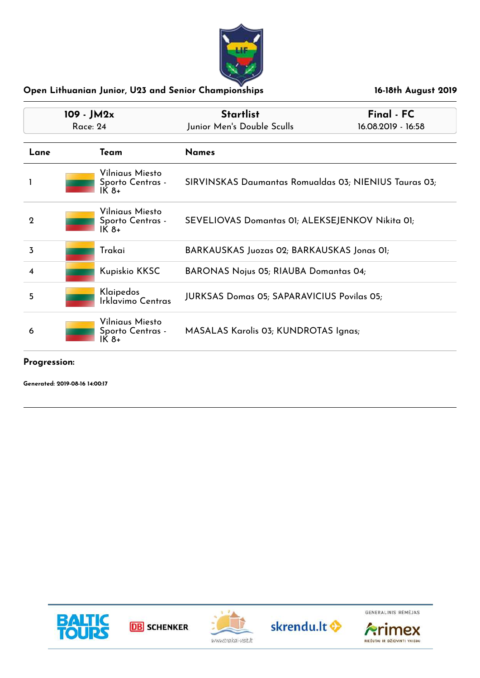

| 109 - JM2x<br>Race: 24 |  |                                               | <b>Startlist</b><br>Junior Men's Double Sculls        | Final - FC<br>16.08.2019 - 16:58 |
|------------------------|--|-----------------------------------------------|-------------------------------------------------------|----------------------------------|
| Lane                   |  | Team                                          | <b>Names</b>                                          |                                  |
|                        |  | Vilniaus Miesto<br>Sporto Centras -<br>$IK8+$ | SIRVINSKAS Daumantas Romualdas 03; NIENIUS Tauras 03; |                                  |
| $\mathbf 2$            |  | Vilniaus Miesto<br>Sporto Centras -<br>$IK8+$ | SEVELIOVAS Domantas 01; ALEKSEJENKOV Nikita 01;       |                                  |
| 3                      |  | Trakai                                        | BARKAUSKAS Juozas 02; BARKAUSKAS Jonas 01;            |                                  |
| 4                      |  | Kupiskio KKSC                                 | <b>BARONAS Nojus 05; RIAUBA Domantas 04;</b>          |                                  |
| 5                      |  | Klaipedos<br>Irklavimo Centras                | <b>JURKSAS Domas 05; SAPARAVICIUS Povilas 05;</b>     |                                  |
| 6                      |  | Vilniaus Miesto<br>Sporto Centras -<br>IK 8+  | MASALAS Karolis 03; KUNDROTAS Ignas;                  |                                  |

#### **Progression:**

**Generated: 2019-08-16 14:00:17**









GENERALINIS RÉMÉJAS

**Arimex** 

RIEŠUTAI IR DŽIOVINTI VAISIAI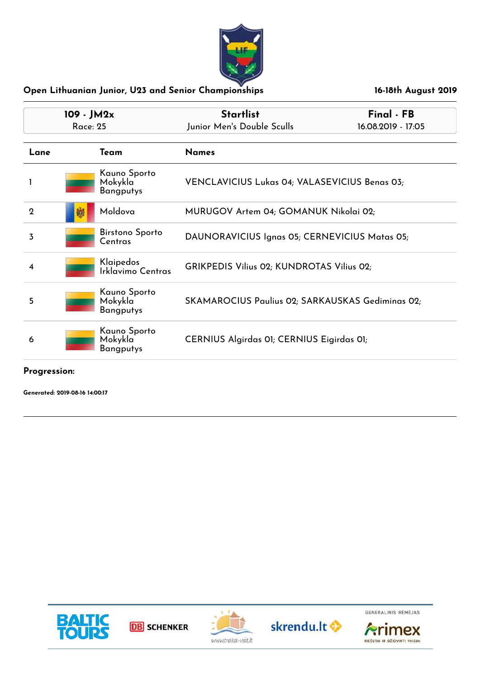

| 109 - JM2x<br>Race: 25 |  |                                             | <b>Startlist</b><br>Junior Men's Double Sculls   | Final - FB<br>16.08.2019 - 17:05 |
|------------------------|--|---------------------------------------------|--------------------------------------------------|----------------------------------|
| Lane                   |  | Team                                        | <b>Names</b>                                     |                                  |
|                        |  | Kauno Sporto<br>Mokykla<br><b>Bangputys</b> | VENCLAVICIUS Lukas 04; VALASEVICIUS Benas 03;    |                                  |
| $\mathbf 2$            |  | Moldova                                     | MURUGOV Artem 04; GOMANUK Nikolai 02;            |                                  |
| 3                      |  | <b>Birstono Sporto</b><br>Centras           | DAUNORAVICIUS Ignas 05; CERNEVICIUS Matas 05;    |                                  |
| 4                      |  | Klaipedos<br>Irklavimo Centras              | <b>GRIKPEDIS Vilius 02; KUNDROTAS Vilius 02;</b> |                                  |
| 5                      |  | Kauno Sporto<br>Mokykla<br>Bangputys        | SKAMAROCIUS Paulius 02; SARKAUSKAS Gediminas 02; |                                  |
| 6                      |  | Kauno Sporto<br>Mokykla<br><b>Bangputys</b> | CERNIUS Algirdas 01; CERNIUS Eigirdas 01;        |                                  |

**Progression:**

**Generated: 2019-08-16 14:00:17**









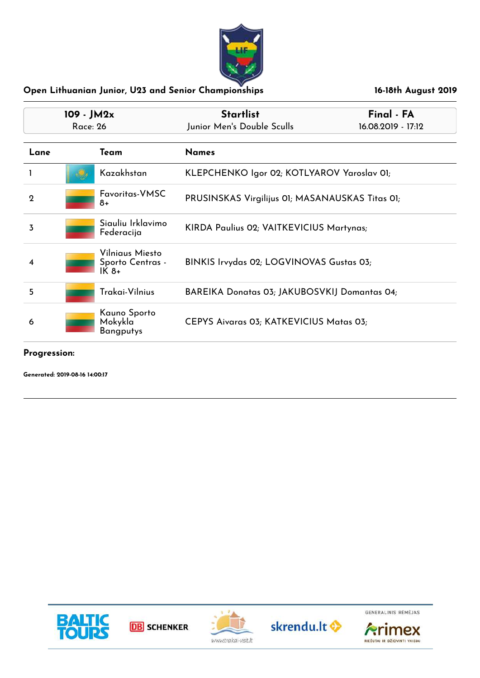

| 109 - JM2x<br>Race: 26 |                                              | <b>Startlist</b><br>Junior Men's Double Sculls  | Final - FA<br>16.08.2019 - 17:12 |
|------------------------|----------------------------------------------|-------------------------------------------------|----------------------------------|
| Lane                   | Team                                         | <b>Names</b>                                    |                                  |
|                        | Kazakhstan                                   | KLEPCHENKO Igor 02; KOTLYAROV Yaroslav 01;      |                                  |
| $\mathbf 2$            | Favoritas-VMSC<br>8+                         | PRUSINSKAS Virgilijus 01; MASANAUSKAS Titas 01; |                                  |
| 3                      | Siauliu Irklavimo<br>Federacija              | KIRDA Paulius 02; VAITKEVICIUS Martynas;        |                                  |
| 4                      | Vilniaus Miesto<br>Sporto Centras -<br>IK 8+ | BINKIS Irvydas 02; LOGVINOVAS Gustas 03;        |                                  |
| 5                      | Trakai-Vilnius                               | BAREIKA Donatas 03; JAKUBOSVKIJ Domantas 04;    |                                  |
| 6                      | Kauno Sporto<br>Mokykla<br>Bangputys         | CEPYS Aivaras 03; KATKEVICIUS Matas 03;         |                                  |

**Progression:**







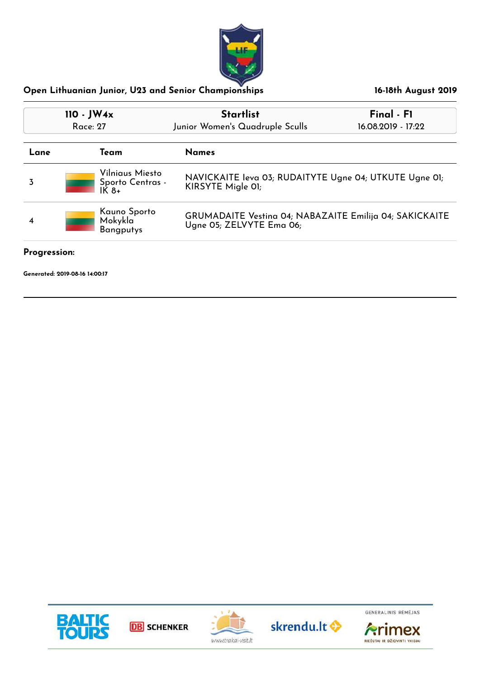

| Final - F1<br>16.08.2019 - 17:22                                            |  |
|-----------------------------------------------------------------------------|--|
|                                                                             |  |
| NAVICKAITE leva 03; RUDAITYTE Ugne 04; UTKUTE Ugne 01;<br>KIRSYTE Migle 01; |  |
| GRUMADAITE Vestina 04; NABAZAITE Emilija 04; SAKICKAITE                     |  |
|                                                                             |  |

#### **Progression:**